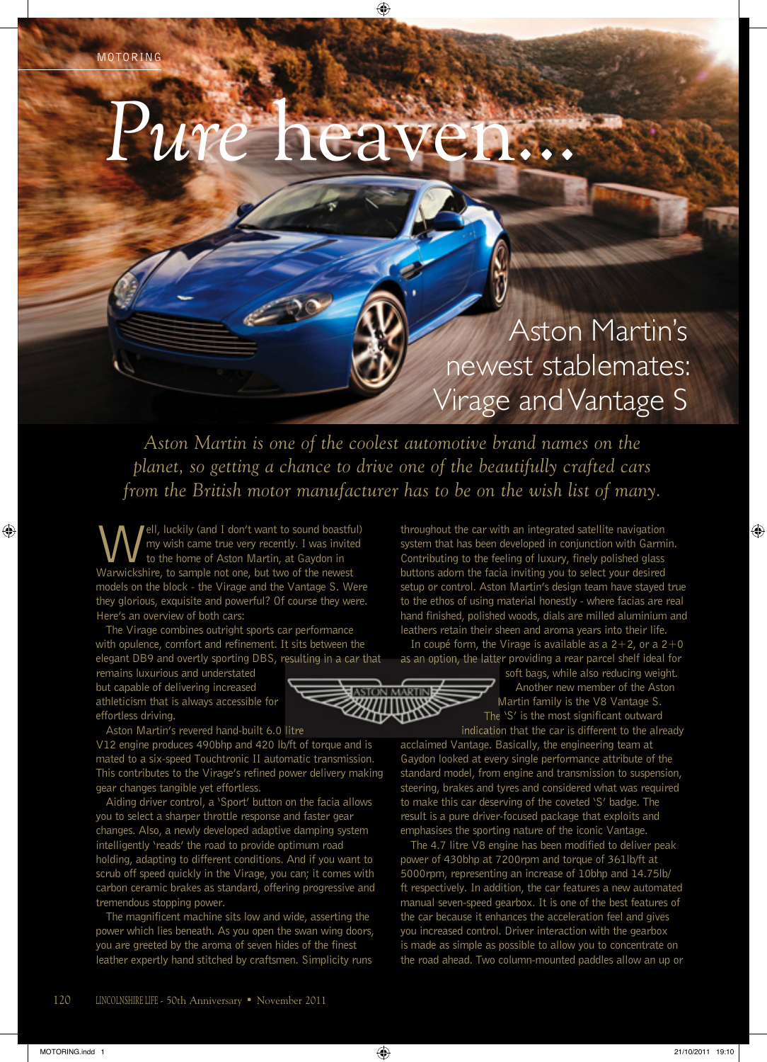## *Pure* heaven...

## Aston Martin's newest stablemates: Virage and Vantage S

*Aston Martin is one of the coolest automotive brand names on the planet, so getting a chance to drive one of the beautifully crafted cars from the British motor manufacturer has to be on the wish list of many.*

Iell, luckily (and I don't want to sound boastful) my wish came true very recently. I was invited to the home of Aston Martin, at Gaydon in Warwickshire, to sample not one, but two of the newest models on the block - the Virage and the Vantage S. Were they glorious, exquisite and powerful? Of course they were. Here's an overview of both cars:

The Virage combines outright sports car performance with opulence, comfort and refinement. It sits between the elegant DB9 and overtly sporting DBS, resulting in a car that

remains luxurious and understated but capable of delivering increased athleticism that is always accessible for effortless driving.

Aston Martin's revered hand-built 6.0 litre

V12 engine produces 490bhp and 420 lb/ft of torque and is mated to a six-speed Touchtronic II automatic transmission. This contributes to the Virage's refined power delivery making gear changes tangible yet effortless.

Aiding driver control, a 'Sport' button on the facia allows you to select a sharper throttle response and faster gear changes. Also, a newly developed adaptive damping system intelligently 'reads' the road to provide optimum road holding, adapting to different conditions. And if you want to scrub off speed quickly in the Virage, you can; it comes with carbon ceramic brakes as standard, offering progressive and tremendous stopping power.

The magnificent machine sits low and wide, asserting the power which lies beneath. As you open the swan wing doors, you are greeted by the aroma of seven hides of the finest leather expertly hand stitched by craftsmen. Simplicity runs

throughout the car with an integrated satellite navigation system that has been developed in conjunction with Garmin. Contributing to the feeling of luxury, finely polished glass buttons adorn the facia inviting you to select your desired setup or control. Aston Martin's design team have stayed true to the ethos of using material honestly - where facias are real hand finished, polished woods, dials are milled aluminium and leathers retain their sheen and aroma years into their life.

In coupé form, the Virage is available as a  $2+2$ , or a  $2+0$ as an option, the latter providing a rear parcel shelf ideal for

> soft bags, while also reducing weight. Another new member of the Aston Martin family is the V8 Vantage S. The 'S' is the most significant outward indication that the car is different to the already

acclaimed Vantage. Basically, the engineering team at Gaydon looked at every single performance attribute of the standard model, from engine and transmission to suspension, steering, brakes and tyres and considered what was required to make this car deserving of the coveted 'S' badge. The result is a pure driver-focused package that exploits and emphasises the sporting nature of the iconic Vantage.

The 4.7 litre V8 engine has been modified to deliver peak power of 430bhp at 7200rpm and torque of 361lb/ft at 5000rpm, representing an increase of 10bhp and 14.75lb/ ft respectively. In addition, the car features a new automated manual seven-speed gearbox. It is one of the best features of the car because it enhances the acceleration feel and gives you increased control. Driver interaction with the gearbox is made as simple as possible to allow you to concentrate on the road ahead. Two column-mounted paddles allow an up or